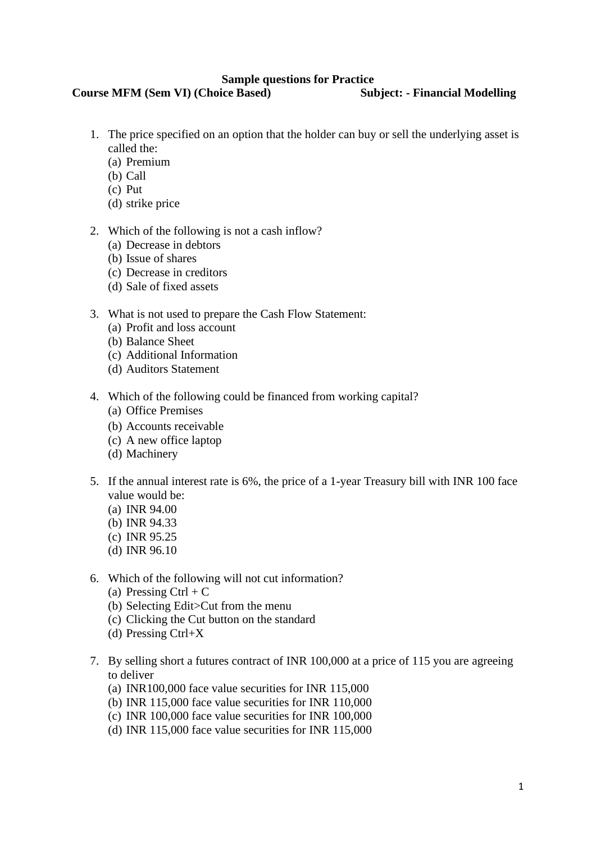#### **Sample questions for Practice**

# **Course MFM (Sem VI) (Choice Based) Subject: - Financial Modelling**

- 1. The price specified on an option that the holder can buy or sell the underlying asset is called the:
	- (a) Premium
	- (b) Call
	- (c) Put
	- (d) strike price
- 2. Which of the following is not a cash inflow?
	- (a) Decrease in debtors
	- (b) Issue of shares
	- (c) Decrease in creditors
	- (d) Sale of fixed assets
- 3. What is not used to prepare the Cash Flow Statement:
	- (a) Profit and loss account
	- (b) Balance Sheet
	- (c) Additional Information
	- (d) Auditors Statement
- 4. Which of the following could be financed from working capital?
	- (a) Office Premises
	- (b) Accounts receivable
	- (c) A new office laptop
	- (d) Machinery
- 5. If the annual interest rate is 6%, the price of a 1-year Treasury bill with INR 100 face value would be:
	- (a) INR 94.00
	- (b) INR 94.33
	- (c) INR 95.25
	- (d) INR 96.10
- 6. Which of the following will not cut information?
	- (a) Pressing Ctrl + C
	- (b) Selecting Edit>Cut from the menu
	- (c) Clicking the Cut button on the standard
	- (d) Pressing Ctrl+X
- 7. By selling short a futures contract of INR 100,000 at a price of 115 you are agreeing to deliver
	- (a) INR100,000 face value securities for INR 115,000
	- (b) INR 115,000 face value securities for INR 110,000
	- (c) INR 100,000 face value securities for INR 100,000
	- (d) INR 115,000 face value securities for INR 115,000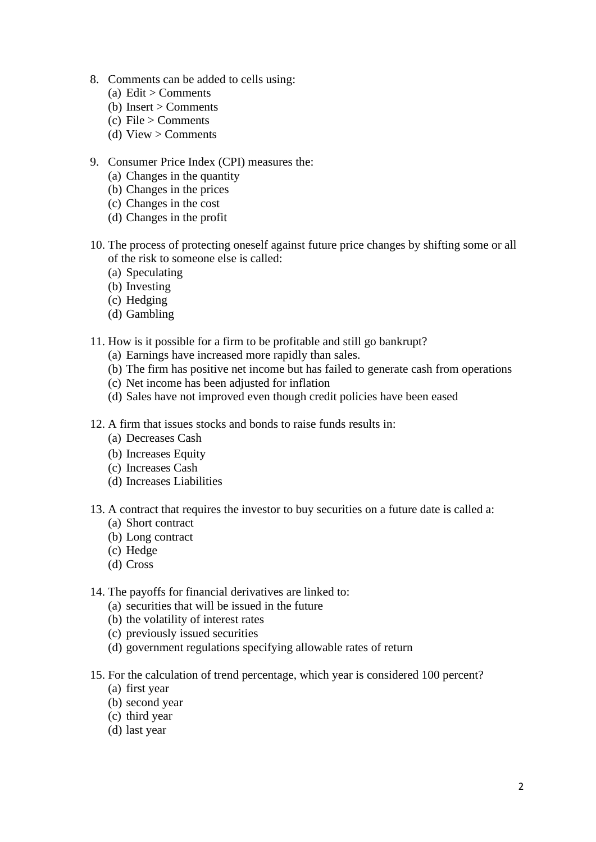- 8. Comments can be added to cells using:
	- (a) Edit > Comments
	- (b) Insert  $>$  Comments
	- (c) File  $>$  Comments
	- (d) View  $>$  Comments
- 9. Consumer Price Index (CPI) measures the:
	- (a) Changes in the quantity
	- (b) Changes in the prices
	- (c) Changes in the cost
	- (d) Changes in the profit
- 10. The process of protecting oneself against future price changes by shifting some or all of the risk to someone else is called:
	- (a) Speculating
	- (b) Investing
	- (c) Hedging
	- (d) Gambling
- 11. How is it possible for a firm to be profitable and still go bankrupt?
	- (a) Earnings have increased more rapidly than sales.
	- (b) The firm has positive net income but has failed to generate cash from operations
	- (c) Net income has been adjusted for inflation
	- (d) Sales have not improved even though credit policies have been eased
- 12. A firm that issues stocks and bonds to raise funds results in:
	- (a) Decreases Cash
	- (b) Increases Equity
	- (c) Increases Cash
	- (d) Increases Liabilities
- 13. A contract that requires the investor to buy securities on a future date is called a:
	- (a) Short contract
	- (b) Long contract
	- (c) Hedge
	- (d) Cross
- 14. The payoffs for financial derivatives are linked to:
	- (a) securities that will be issued in the future
	- (b) the volatility of interest rates
	- (c) previously issued securities
	- (d) government regulations specifying allowable rates of return
- 15. For the calculation of trend percentage, which year is considered 100 percent?
	- (a) first year
	- (b) second year
	- (c) third year
	- (d) last year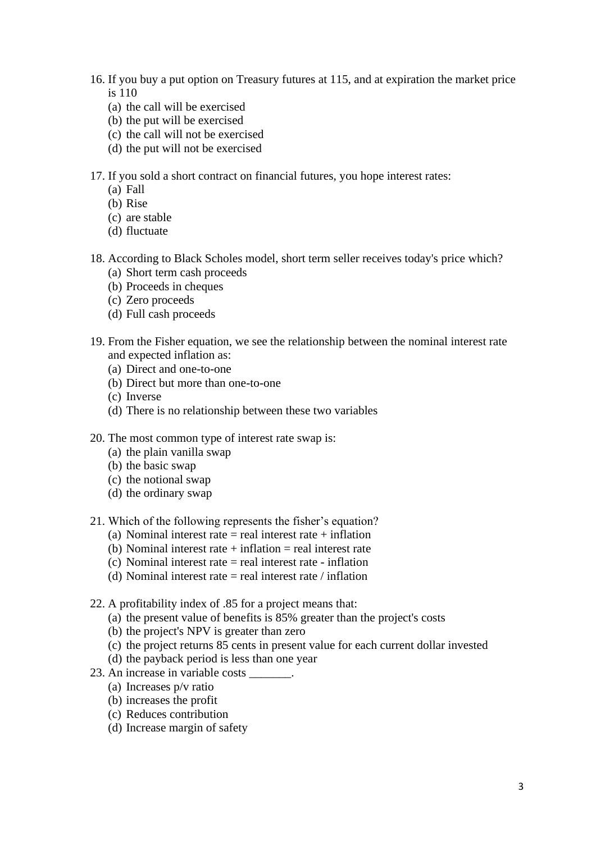- 16. If you buy a put option on Treasury futures at 115, and at expiration the market price is 110
	- (a) the call will be exercised
	- (b) the put will be exercised
	- (c) the call will not be exercised
	- (d) the put will not be exercised

17. If you sold a short contract on financial futures, you hope interest rates:

- (a) Fall
- (b) Rise
- (c) are stable
- (d) fluctuate
- 18. According to Black Scholes model, short term seller receives today's price which?
	- (a) Short term cash proceeds
	- (b) Proceeds in cheques
	- (c) Zero proceeds
	- (d) Full cash proceeds
- 19. From the Fisher equation, we see the relationship between the nominal interest rate and expected inflation as:
	- (a) Direct and one-to-one
	- (b) Direct but more than one-to-one
	- (c) Inverse
	- (d) There is no relationship between these two variables
- 20. The most common type of interest rate swap is:
	- (a) the plain vanilla swap
	- (b) the basic swap
	- (c) the notional swap
	- (d) the ordinary swap
- 21. Which of the following represents the fisher's equation?
	- (a) Nominal interest rate  $=$  real interest rate  $+$  inflation
	- (b) Nominal interest rate  $+$  inflation  $=$  real interest rate
	- (c) Nominal interest rate = real interest rate inflation
	- (d) Nominal interest rate  $=$  real interest rate  $/$  inflation
- 22. A profitability index of .85 for a project means that:
	- (a) the present value of benefits is 85% greater than the project's costs
	- (b) the project's NPV is greater than zero
	- (c) the project returns 85 cents in present value for each current dollar invested
	- (d) the payback period is less than one year
- 23. An increase in variable costs \_\_\_\_\_\_\_.
	- (a) Increases p/v ratio
	- (b) increases the profit
	- (c) Reduces contribution
	- (d) Increase margin of safety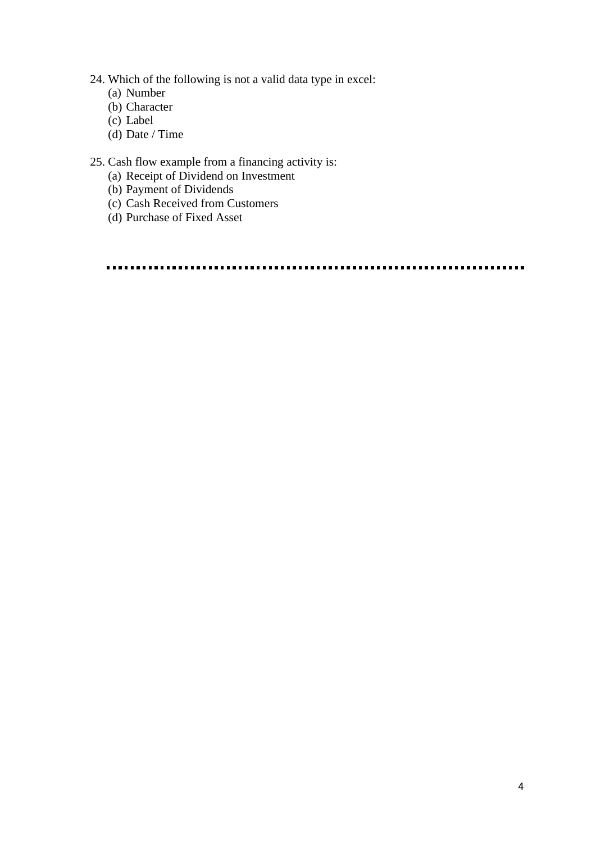- 24. Which of the following is not a valid data type in excel:
	- (a) Number
	- (b) Character
	- (c) Label
	- (d) Date / Time

## 25. Cash flow example from a financing activity is:

- (a) Receipt of Dividend on Investment
- (b) Payment of Dividends
- (c) Cash Received from Customers
- (d) Purchase of Fixed Asset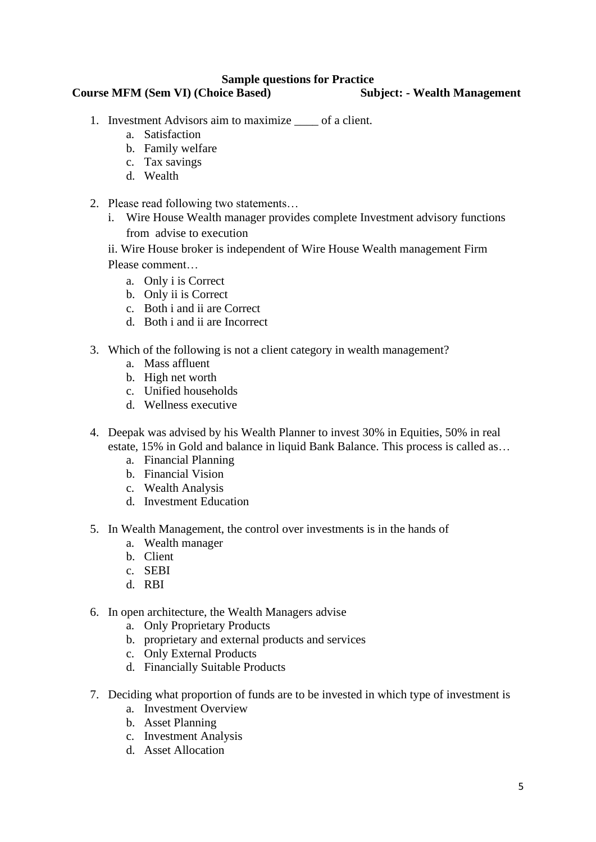#### **Sample questions for Practice**

### **Course MFM (Sem VI) (Choice Based) Subject: - Wealth Management**

- 1. Investment Advisors aim to maximize \_\_\_\_ of a client.
	- a. Satisfaction
	- b. Family welfare
	- c. Tax savings
	- d. Wealth
- 2. Please read following two statements…
	- i. Wire House Wealth manager provides complete Investment advisory functions from advise to execution
	- ii. Wire House broker is independent of Wire House Wealth management Firm Please comment…
		- a. Only i is Correct
		- b. Only ii is Correct
		- c. Both i and ii are Correct
		- d. Both i and ii are Incorrect
- 3. Which of the following is not a client category in wealth management?
	- a. Mass affluent
	- b. High net worth
	- c. Unified households
	- d. Wellness executive
- 4. Deepak was advised by his Wealth Planner to invest 30% in Equities, 50% in real estate, 15% in Gold and balance in liquid Bank Balance. This process is called as…
	- a. Financial Planning
	- b. Financial Vision
	- c. Wealth Analysis
	- d. Investment Education
- 5. In Wealth Management, the control over investments is in the hands of
	- a. Wealth manager
	- b. Client
	- c. SEBI
	- d. RBI
- 6. In open architecture, the Wealth Managers advise
	- a. Only Proprietary Products
	- b. proprietary and external products and services
	- c. Only External Products
	- d. Financially Suitable Products
- 7. Deciding what proportion of funds are to be invested in which type of investment is
	- a. Investment Overview
	- b. Asset Planning
	- c. Investment Analysis
	- d. Asset Allocation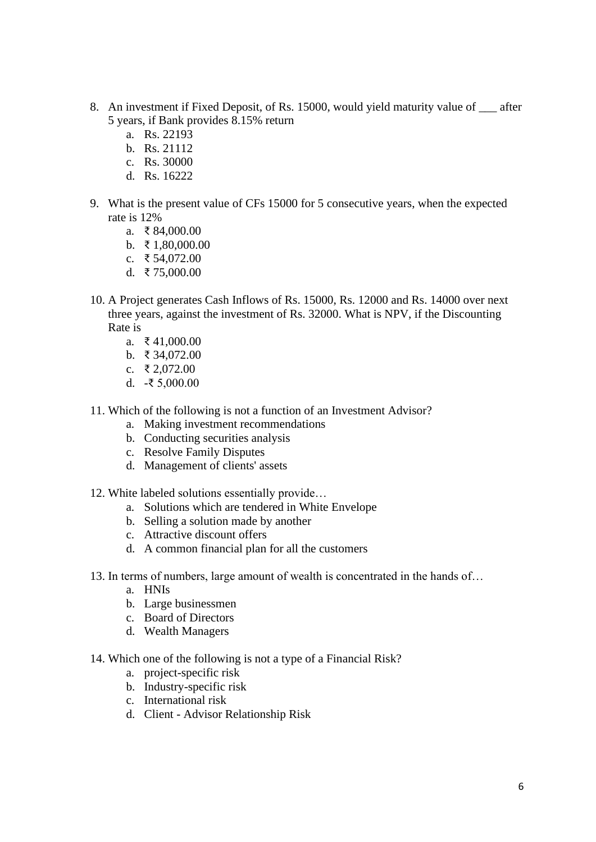- 8. An investment if Fixed Deposit, of Rs. 15000, would yield maturity value of \_\_\_ after 5 years, if Bank provides 8.15% return
	- a. Rs. 22193
	- b. Rs. 21112
	- c. Rs. 30000
	- d. Rs. 16222
- 9. What is the present value of CFs 15000 for 5 consecutive years, when the expected rate is 12%
	- a. ₹ 84,000.00
	- b. ₹ 1,80,000,00
	- c. ₹ 54,072.00
	- d. ₹ 75,000.00
- 10. A Project generates Cash Inflows of Rs. 15000, Rs. 12000 and Rs. 14000 over next three years, against the investment of Rs. 32000. What is NPV, if the Discounting Rate is
	- a. ₹ 41,000.00
	- b. ₹ 34,072.00
	- c. ₹ 2,072.00
	- d. -₹ 5,000.00
- 11. Which of the following is not a function of an Investment Advisor?
	- a. Making investment recommendations
	- b. Conducting securities analysis
	- c. Resolve Family Disputes
	- d. Management of clients' assets
- 12. White labeled solutions essentially provide…
	- a. Solutions which are tendered in White Envelope
	- b. Selling a solution made by another
	- c. Attractive discount offers
	- d. A common financial plan for all the customers
- 13. In terms of numbers, large amount of wealth is concentrated in the hands of…
	- a. HNIs
	- b. Large businessmen
	- c. Board of Directors
	- d. Wealth Managers
- 14. Which one of the following is not a type of a Financial Risk?
	- a. project-specific risk
	- b. Industry-specific risk
	- c. International risk
	- d. Client Advisor Relationship Risk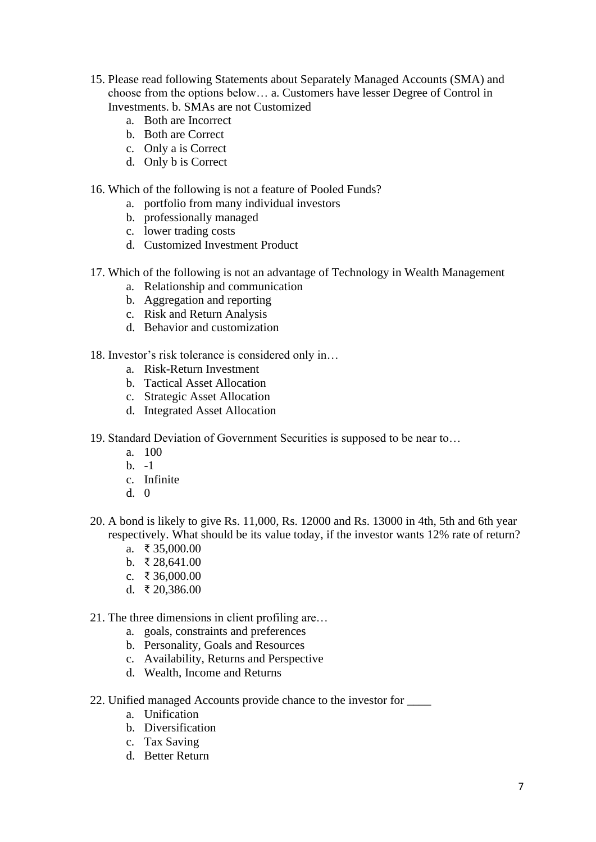- 15. Please read following Statements about Separately Managed Accounts (SMA) and choose from the options below… a. Customers have lesser Degree of Control in Investments. b. SMAs are not Customized
	- a. Both are Incorrect
	- b. Both are Correct
	- c. Only a is Correct
	- d. Only b is Correct
- 16. Which of the following is not a feature of Pooled Funds?
	- a. portfolio from many individual investors
	- b. professionally managed
	- c. lower trading costs
	- d. Customized Investment Product
- 17. Which of the following is not an advantage of Technology in Wealth Management
	- a. Relationship and communication
	- b. Aggregation and reporting
	- c. Risk and Return Analysis
	- d. Behavior and customization
- 18. Investor's risk tolerance is considered only in…
	- a. Risk-Return Investment
	- b. Tactical Asset Allocation
	- c. Strategic Asset Allocation
	- d. Integrated Asset Allocation
- 19. Standard Deviation of Government Securities is supposed to be near to…
	- a. 100
	- b.  $-1$
	- c. Infinite
	- d. 0
- 20. A bond is likely to give Rs. 11,000, Rs. 12000 and Rs. 13000 in 4th, 5th and 6th year respectively. What should be its value today, if the investor wants 12% rate of return?
	- a. ₹ 35,000.00
	- b. ₹ 28,641.00
	- c. ₹ 36,000.00
	- d. ₹ 20,386.00
- 21. The three dimensions in client profiling are…
	- a. goals, constraints and preferences
	- b. Personality, Goals and Resources
	- c. Availability, Returns and Perspective
	- d. Wealth, Income and Returns
- 22. Unified managed Accounts provide chance to the investor for \_\_\_\_
	- a. Unification
	- b. Diversification
	- c. Tax Saving
	- d. Better Return